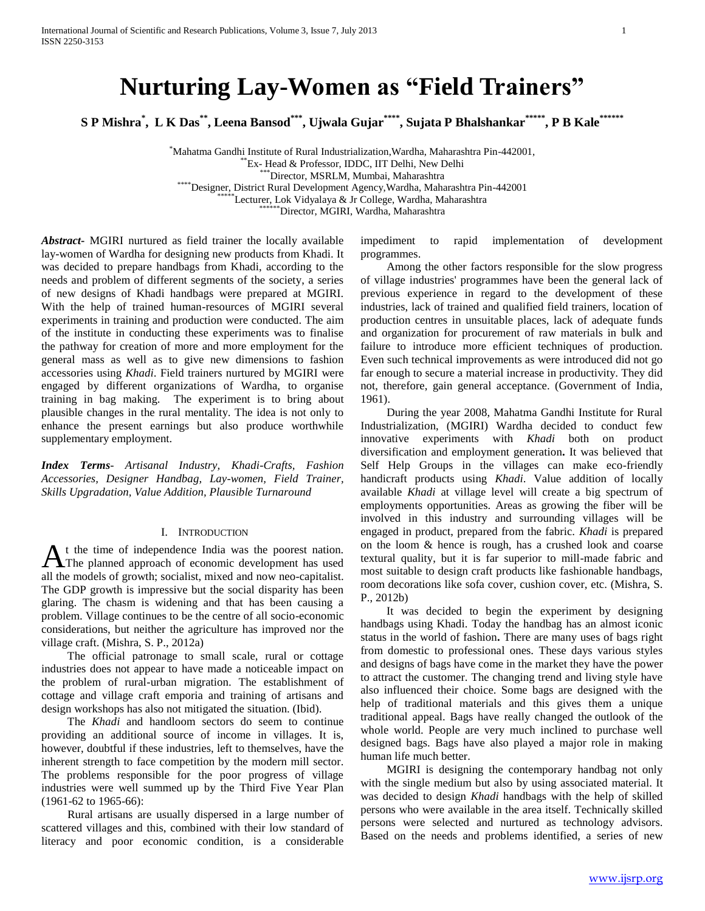# **Nurturing Lay-Women as "Field Trainers"**

**S P Mishra\* , L K Das\*\* , Leena Bansod\*\*\*, Ujwala Gujar\*\*\*\* , Sujata P Bhalshankar\*\*\*\*\*, P B Kale\*\*\*\*\*\***

\*Mahatma Gandhi Institute of Rural Industrialization,Wardha, Maharashtra Pin-442001,  $E$ <sub>Ex</sub>- Head & Professor, IDDC, IIT Delhi, New Delhi Director, MSRLM, Mumbai, Maharashtra \*\*\*\*Designer, District Rural Development Agency,Wardha, Maharashtra Pin-442001 \*Lecturer, Lok Vidyalaya & Jr College, Wardha, Maharashtra \*\*Director, MGIRI, Wardha, Maharashtra

*Abstract***-** MGIRI nurtured as field trainer the locally available lay-women of Wardha for designing new products from Khadi. It was decided to prepare handbags from Khadi, according to the needs and problem of different segments of the society, a series of new designs of Khadi handbags were prepared at MGIRI. With the help of trained human-resources of MGIRI several experiments in training and production were conducted. The aim of the institute in conducting these experiments was to finalise the pathway for creation of more and more employment for the general mass as well as to give new dimensions to fashion accessories using *Khadi*. Field trainers nurtured by MGIRI were engaged by different organizations of Wardha, to organise training in bag making. The experiment is to bring about plausible changes in the rural mentality. The idea is not only to enhance the present earnings but also produce worthwhile supplementary employment.

*Index Terms*- *Artisanal Industry, Khadi-Crafts, Fashion Accessories, Designer Handbag, Lay-women, Field Trainer, Skills Upgradation, Value Addition, Plausible Turnaround*

#### I. INTRODUCTION

t the time of independence India was the poorest nation. At the time of independence India was the poorest nation.<br>The planned approach of economic development has used all the models of growth; socialist, mixed and now neo-capitalist. The GDP growth is impressive but the social disparity has been glaring. The chasm is widening and that has been causing a problem. Village continues to be the centre of all socio-economic considerations, but neither the agriculture has improved nor the village craft. (Mishra, S. P., 2012a)

 The official patronage to small scale, rural or cottage industries does not appear to have made a noticeable impact on the problem of rural-urban migration. The establishment of cottage and village craft emporia and training of artisans and design workshops has also not mitigated the situation. (Ibid).

 The *Khadi* and handloom sectors do seem to continue providing an additional source of income in villages. It is, however, doubtful if these industries, left to themselves, have the inherent strength to face competition by the modern mill sector. The problems responsible for the poor progress of village industries were well summed up by the Third Five Year Plan (1961-62 to 1965-66):

 Rural artisans are usually dispersed in a large number of scattered villages and this, combined with their low standard of literacy and poor economic condition, is a considerable

impediment to rapid implementation of development programmes.

 Among the other factors responsible for the slow progress of village industries' programmes have been the general lack of previous experience in regard to the development of these industries, lack of trained and qualified field trainers, location of production centres in unsuitable places, lack of adequate funds and organization for procurement of raw materials in bulk and failure to introduce more efficient techniques of production. Even such technical improvements as were introduced did not go far enough to secure a material increase in productivity. They did not, therefore, gain general acceptance. (Government of India, 1961).

 During the year 2008, Mahatma Gandhi Institute for Rural Industrialization, (MGIRI) Wardha decided to conduct few innovative experiments with *Khadi* both on product diversification and employment generation**.** It was believed that Self Help Groups in the villages can make eco-friendly handicraft products using *Khadi*. Value addition of locally available *Khadi* at village level will create a big spectrum of employments opportunities. Areas as growing the fiber will be involved in this industry and surrounding villages will be engaged in product, prepared from the fabric. *Khadi* is prepared on the loom & hence is rough, has a crushed look and coarse textural quality, but it is far superior to mill-made fabric and most suitable to design craft products like fashionable handbags, room decorations like sofa cover, cushion cover, etc. (Mishra, S. P., 2012b)

 It was decided to begin the experiment by designing handbags using Khadi. Today the handbag has an almost iconic status in the world of fashion**.** There are many uses of bags right from domestic to professional ones. These days various styles and designs of bags have come in the market they have the power to attract the customer. The changing trend and living style have also influenced their choice. Some bags are designed with the help of traditional materials and this gives them a unique traditional appeal. Bags have really changed the outlook of the whole world. People are very much inclined to purchase well designed bags. Bags have also played a major role in making human life much better.

 MGIRI is designing the contemporary handbag not only with the single medium but also by using associated material. It was decided to design *Khadi* handbags with the help of skilled persons who were available in the area itself. Technically skilled persons were selected and nurtured as technology advisors. Based on the needs and problems identified, a series of new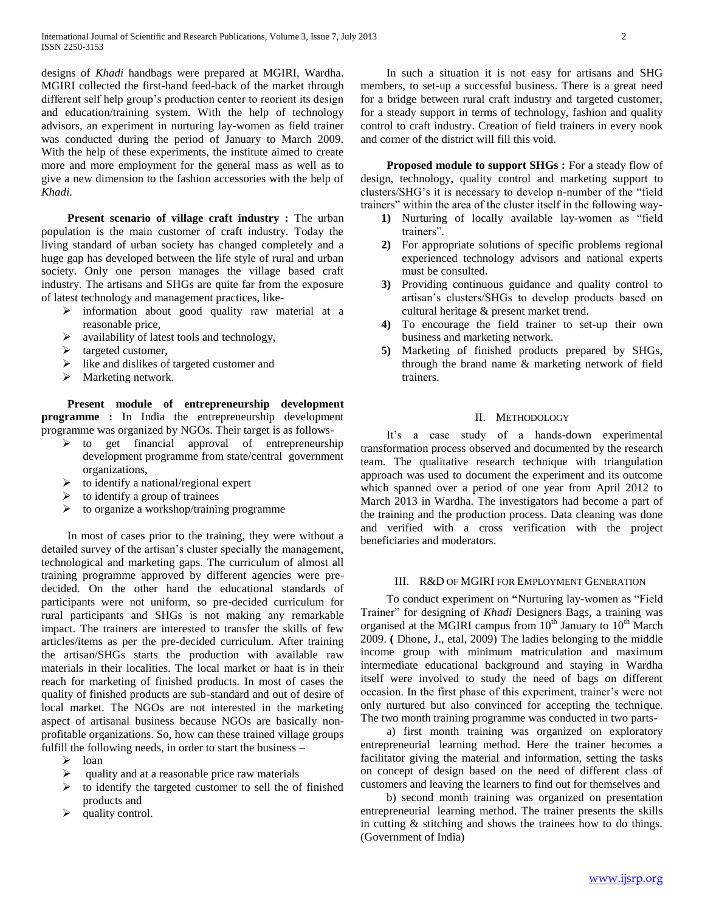designs of *Khadi* handbags were prepared at MGIRI, Wardha. MGIRI collected the first-hand feed-back of the market through different self help group's production center to reorient its design and education/training system. With the help of technology advisors, an experiment in nurturing lay-women as field trainer was conducted during the period of January to March 2009. With the help of these experiments, the institute aimed to create more and more employment for the general mass as well as to give a new dimension to the fashion accessories with the help of *Khadi.*

**Present scenario of village craft industry :** The urban population is the main customer of craft industry. Today the living standard of urban society has changed completely and a huge gap has developed between the life style of rural and urban society. Only one person manages the village based craft industry. The artisans and SHGs are quite far from the exposure of latest technology and management practices, like-

- $\triangleright$  information about good quality raw material at a reasonable price,
- $\triangleright$  availability of latest tools and technology,
- $\triangleright$  targeted customer,
- $\triangleright$  like and dislikes of targeted customer and
- $\triangleright$  Marketing network.

 **Present module of entrepreneurship development programme :** In India the entrepreneurship development programme was organized by NGOs. Their target is as follows-

- to get financial approval of entrepreneurship development programme from state/central government organizations,
- $\triangleright$  to identify a national/regional expert
- $\triangleright$  to identify a group of trainees
- $\triangleright$  to organize a workshop/training programme

 In most of cases prior to the training, they were without a detailed survey of the artisan's cluster specially the management, technological and marketing gaps. The curriculum of almost all training programme approved by different agencies were predecided. On the other hand the educational standards of participants were not uniform, so pre-decided curriculum for rural participants and SHGs is not making any remarkable impact. The trainers are interested to transfer the skills of few articles/items as per the pre-decided curriculum. After training the artisan/SHGs starts the production with available raw materials in their localities. The local market or haat is in their reach for marketing of finished products. In most of cases the quality of finished products are sub-standard and out of desire of local market. The NGOs are not interested in the marketing aspect of artisanal business because NGOs are basically nonprofitable organizations. So, how can these trained village groups fulfill the following needs, in order to start the business –

- $\triangleright$  loan
- quality and at a reasonable price raw materials
- $\triangleright$  to identify the targeted customer to sell the of finished products and
- $\blacktriangleright$  quality control.

 In such a situation it is not easy for artisans and SHG members, to set-up a successful business. There is a great need for a bridge between rural craft industry and targeted customer, for a steady support in terms of technology, fashion and quality control to craft industry. Creation of field trainers in every nook and corner of the district will fill this void.

 **Proposed module to support SHGs :** For a steady flow of design, technology, quality control and marketing support to clusters/SHG's it is necessary to develop n-number of the "field trainers" within the area of the cluster itself in the following way-

- **1)** Nurturing of locally available lay-women as "field trainers".
- **2)** For appropriate solutions of specific problems regional experienced technology advisors and national experts must be consulted.
- **3)** Providing continuous guidance and quality control to artisan's clusters/SHGs to develop products based on cultural heritage & present market trend.
- **4)** To encourage the field trainer to set-up their own business and marketing network.
- **5)** Marketing of finished products prepared by SHGs, through the brand name & marketing network of field trainers.

#### II. METHODOLOGY

 It's a case study of a hands-down experimental transformation process observed and documented by the research team. The qualitative research technique with triangulation approach was used to document the experiment and its outcome which spanned over a period of one year from April 2012 to March 2013 in Wardha. The investigators had become a part of the training and the production process. Data cleaning was done and verified with a cross verification with the project beneficiaries and moderators.

## III. R&D OF MGIRI FOR EMPLOYMENT GENERATION

 To conduct experiment on **"**Nurturing lay-women as "Field Trainer" for designing of *Khadi* Designers Bags, a training was organised at the MGIRI campus from  $10^{th}$  January to  $10^{th}$  March 2009. **(** Dhone, J., etal, 2009) The ladies belonging to the middle income group with minimum matriculation and maximum intermediate educational background and staying in Wardha itself were involved to study the need of bags on different occasion. In the first phase of this experiment, trainer's were not only nurtured but also convinced for accepting the technique. The two month training programme was conducted in two parts-

 a) first month training was organized on exploratory entrepreneurial learning method. Here the trainer becomes a facilitator giving the material and information, setting the tasks on concept of design based on the need of different class of customers and leaving the learners to find out for themselves and

 b) second month training was organized on presentation entrepreneurial learning method. The trainer presents the skills in cutting & stitching and shows the trainees how to do things. (Government of India)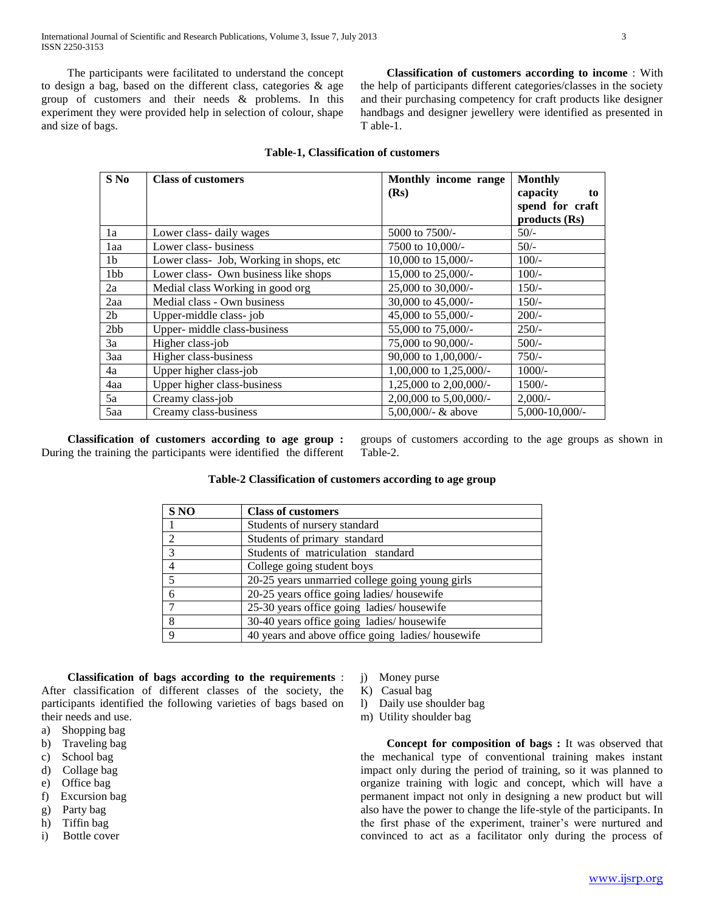The participants were facilitated to understand the concept to design a bag, based on the different class, categories & age group of customers and their needs & problems. In this experiment they were provided help in selection of colour, shape and size of bags.

 **Classification of customers according to income** : With the help of participants different categories/classes in the society and their purchasing competency for craft products like designer handbags and designer jewellery were identified as presented in T able-1.

| $S$ No         | <b>Class of customers</b>               | Monthly income range   | <b>Monthly</b>      |
|----------------|-----------------------------------------|------------------------|---------------------|
|                |                                         | (Rs)                   | capacity<br>to      |
|                |                                         |                        | spend for craft     |
|                |                                         |                        | products (Rs)       |
| 1a             | Lower class-daily wages                 | 5000 to 7500/-         | $50/-$              |
| 1aa            | Lower class-business                    | 7500 to 10,000/-       | $50/-$              |
| 1 <sub>b</sub> | Lower class- Job, Working in shops, etc | 10,000 to 15,000/-     | $100/-$             |
| 1bb            | Lower class- Own business like shops    | 15,000 to 25,000/-     | $100/-$             |
| 2a             | Medial class Working in good org        | 25,000 to 30,000/-     | $150/-$             |
| 2aa            | Medial class - Own business             | 30,000 to 45,000/-     | $150/-$             |
| 2 <sub>b</sub> | Upper-middle class-job                  | 45,000 to 55,000/-     | $200/-$             |
| 2bb            | Upper- middle class-business            | 55,000 to 75,000/-     | $250/-$             |
| 3a             | Higher class-job                        | 75,000 to 90,000/-     | $500/-$             |
| 3aa            | Higher class-business                   | 90,000 to 1,00,000/-   | $750/-$             |
| 4a             | Upper higher class-job                  | 1,00,000 to 1,25,000/- | $1000/-$            |
| 4aa            | Upper higher class-business             | 1,25,000 to 2,00,000/- | $1500/-$            |
| 5a             | Creamy class-job                        | 2,00,000 to 5,00,000/- | $2,000/-$           |
| 5aa            | Creamy class-business                   | 5,00,000/- $&$ above   | $5,000 - 10,000$ /- |

# **Table-1, Classification of customers**

 **Classification of customers according to age group :**  During the training the participants were identified the different groups of customers according to the age groups as shown in Table-2.

## **Table-2 Classification of customers according to age group**

| S <sub>NO</sub>         | <b>Class of customers</b>                        |
|-------------------------|--------------------------------------------------|
|                         | Students of nursery standard                     |
|                         | Students of primary standard                     |
| $\mathcal{R}$           | Students of matriculation standard               |
|                         | College going student boys                       |
| $\overline{\mathbf{5}}$ | 20-25 years unmarried college going young girls  |
| 6                       | 20-25 years office going ladies/housewife        |
|                         | 25-30 years office going ladies/housewife        |
| 8                       | 30-40 years office going ladies/housewife        |
| $\mathbf Q$             | 40 years and above office going ladies/housewife |

 **Classification of bags according to the requirements** : After classification of different classes of the society, the participants identified the following varieties of bags based on their needs and use.

- a) Shopping bag
- b) Traveling bag
- c) School bag
- d) Collage bag
- e) Office bag
- f) Excursion bag
- g) Party bag h) Tiffin bag
- i) Bottle cover
- j) Money purse
- K) Casual bag
- l) Daily use shoulder bag
- m) Utility shoulder bag

 **Concept for composition of bags :** It was observed that the mechanical type of conventional training makes instant impact only during the period of training, so it was planned to organize training with logic and concept, which will have a permanent impact not only in designing a new product but will also have the power to change the life-style of the participants. In the first phase of the experiment, trainer's were nurtured and convinced to act as a facilitator only during the process of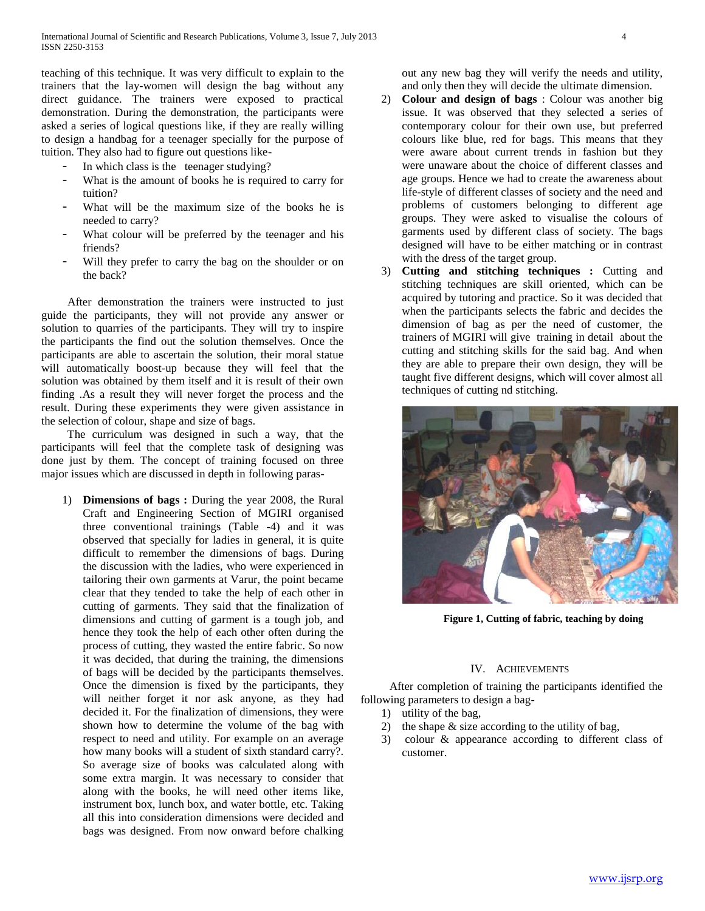teaching of this technique. It was very difficult to explain to the trainers that the lay-women will design the bag without any direct guidance. The trainers were exposed to practical demonstration. During the demonstration, the participants were asked a series of logical questions like, if they are really willing to design a handbag for a teenager specially for the purpose of tuition. They also had to figure out questions like-

- In which class is the teenager studying?
- What is the amount of books he is required to carry for tuition?
- What will be the maximum size of the books he is needed to carry?
- What colour will be preferred by the teenager and his friends?
- Will they prefer to carry the bag on the shoulder or on the back?

 After demonstration the trainers were instructed to just guide the participants, they will not provide any answer or solution to quarries of the participants. They will try to inspire the participants the find out the solution themselves. Once the participants are able to ascertain the solution, their moral statue will automatically boost-up because they will feel that the solution was obtained by them itself and it is result of their own finding .As a result they will never forget the process and the result. During these experiments they were given assistance in the selection of colour, shape and size of bags.

 The curriculum was designed in such a way, that the participants will feel that the complete task of designing was done just by them. The concept of training focused on three major issues which are discussed in depth in following paras-

1) **Dimensions of bags :** During the year 2008, the Rural Craft and Engineering Section of MGIRI organised three conventional trainings (Table -4) and it was observed that specially for ladies in general, it is quite difficult to remember the dimensions of bags. During the discussion with the ladies, who were experienced in tailoring their own garments at Varur, the point became clear that they tended to take the help of each other in cutting of garments. They said that the finalization of dimensions and cutting of garment is a tough job, and hence they took the help of each other often during the process of cutting, they wasted the entire fabric. So now it was decided, that during the training, the dimensions of bags will be decided by the participants themselves. Once the dimension is fixed by the participants, they will neither forget it nor ask anyone, as they had decided it. For the finalization of dimensions, they were shown how to determine the volume of the bag with respect to need and utility. For example on an average how many books will a student of sixth standard carry?. So average size of books was calculated along with some extra margin. It was necessary to consider that along with the books, he will need other items like, instrument box, lunch box, and water bottle, etc. Taking all this into consideration dimensions were decided and bags was designed. From now onward before chalking out any new bag they will verify the needs and utility, and only then they will decide the ultimate dimension.

- 2) **Colour and design of bags** : Colour was another big issue. It was observed that they selected a series of contemporary colour for their own use, but preferred colours like blue, red for bags. This means that they were aware about current trends in fashion but they were unaware about the choice of different classes and age groups. Hence we had to create the awareness about life-style of different classes of society and the need and problems of customers belonging to different age groups. They were asked to visualise the colours of garments used by different class of society. The bags designed will have to be either matching or in contrast with the dress of the target group.
- 3) **Cutting and stitching techniques :** Cutting and stitching techniques are skill oriented, which can be acquired by tutoring and practice. So it was decided that when the participants selects the fabric and decides the dimension of bag as per the need of customer, the trainers of MGIRI will give training in detail about the cutting and stitching skills for the said bag. And when they are able to prepare their own design, they will be taught five different designs, which will cover almost all techniques of cutting nd stitching.



**Figure 1, Cutting of fabric, teaching by doing**

#### IV. ACHIEVEMENTS

 After completion of training the participants identified the following parameters to design a bag-

- 1) utility of the bag,
- 2) the shape & size according to the utility of bag,
- 3) colour & appearance according to different class of customer.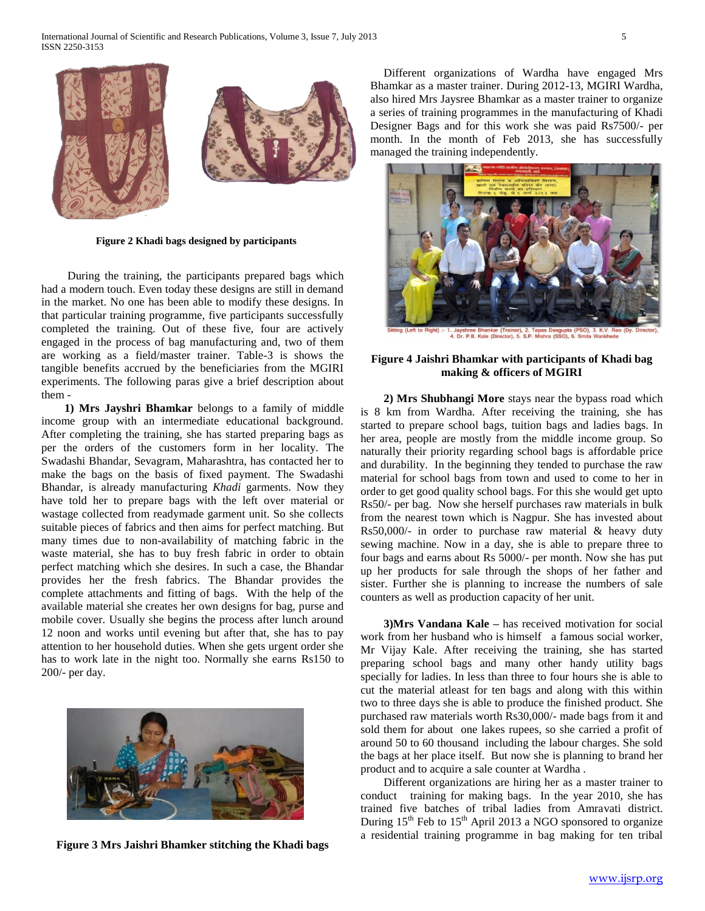

**Figure 2 Khadi bags designed by participants**

 During the training, the participants prepared bags which had a modern touch. Even today these designs are still in demand in the market. No one has been able to modify these designs. In that particular training programme, five participants successfully completed the training. Out of these five, four are actively engaged in the process of bag manufacturing and, two of them are working as a field/master trainer. Table-3 is shows the tangible benefits accrued by the beneficiaries from the MGIRI experiments. The following paras give a brief description about them -

 **1) Mrs Jayshri Bhamkar** belongs to a family of middle income group with an intermediate educational background. After completing the training, she has started preparing bags as per the orders of the customers form in her locality. The Swadashi Bhandar, Sevagram, Maharashtra, has contacted her to make the bags on the basis of fixed payment. The Swadashi Bhandar, is already manufacturing *Khadi* garments. Now they have told her to prepare bags with the left over material or wastage collected from readymade garment unit. So she collects suitable pieces of fabrics and then aims for perfect matching. But many times due to non-availability of matching fabric in the waste material, she has to buy fresh fabric in order to obtain perfect matching which she desires. In such a case, the Bhandar provides her the fresh fabrics. The Bhandar provides the complete attachments and fitting of bags. With the help of the available material she creates her own designs for bag, purse and mobile cover. Usually she begins the process after lunch around 12 noon and works until evening but after that, she has to pay attention to her household duties. When she gets urgent order she has to work late in the night too. Normally she earns Rs150 to 200/- per day.



**Figure 3 Mrs Jaishri Bhamker stitching the Khadi bags**

 Different organizations of Wardha have engaged Mrs Bhamkar as a master trainer. During 2012-13, MGIRI Wardha, also hired Mrs Jaysree Bhamkar as a master trainer to organize a series of training programmes in the manufacturing of Khadi Designer Bags and for this work she was paid Rs7500/- per month. In the month of Feb 2013, she has successfully managed the training independently.



#### **Figure 4 Jaishri Bhamkar with participants of Khadi bag making & officers of MGIRI**

 **2) Mrs Shubhangi More** stays near the bypass road which is 8 km from Wardha. After receiving the training, she has started to prepare school bags, tuition bags and ladies bags. In her area, people are mostly from the middle income group. So naturally their priority regarding school bags is affordable price and durability. In the beginning they tended to purchase the raw material for school bags from town and used to come to her in order to get good quality school bags. For this she would get upto Rs50/- per bag. Now she herself purchases raw materials in bulk from the nearest town which is Nagpur. She has invested about Rs50,000/- in order to purchase raw material  $\&$  heavy duty sewing machine. Now in a day, she is able to prepare three to four bags and earns about Rs 5000/- per month. Now she has put up her products for sale through the shops of her father and sister. Further she is planning to increase the numbers of sale counters as well as production capacity of her unit.

 **3)Mrs Vandana Kale –** has received motivation for social work from her husband who is himself a famous social worker, Mr Vijay Kale. After receiving the training, she has started preparing school bags and many other handy utility bags specially for ladies. In less than three to four hours she is able to cut the material atleast for ten bags and along with this within two to three days she is able to produce the finished product. She purchased raw materials worth Rs30,000/- made bags from it and sold them for about one lakes rupees, so she carried a profit of around 50 to 60 thousand including the labour charges. She sold the bags at her place itself. But now she is planning to brand her product and to acquire a sale counter at Wardha .

Different organizations are hiring her as a master trainer to conduct training for making bags. In the year 2010, she has trained five batches of tribal ladies from Amravati district. During  $15<sup>th</sup>$  Feb to  $15<sup>th</sup>$  April 2013 a NGO sponsored to organize a residential training programme in bag making for ten tribal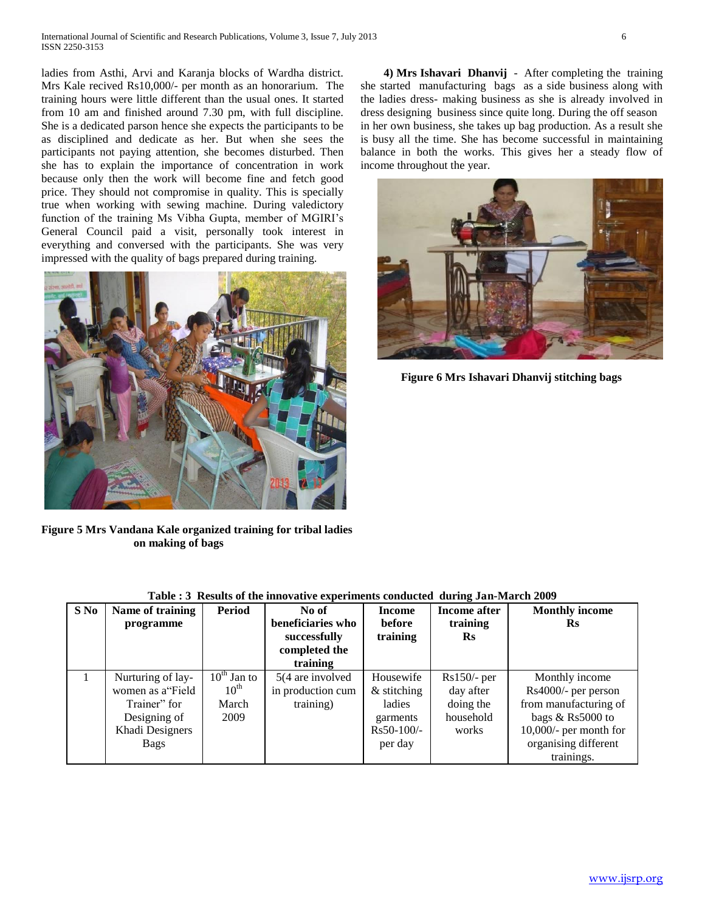ladies from Asthi, Arvi and Karanja blocks of Wardha district. Mrs Kale recived Rs10,000/- per month as an honorarium. The training hours were little different than the usual ones. It started from 10 am and finished around 7.30 pm, with full discipline. She is a dedicated parson hence she expects the participants to be as disciplined and dedicate as her. But when she sees the participants not paying attention, she becomes disturbed. Then she has to explain the importance of concentration in work because only then the work will become fine and fetch good price. They should not compromise in quality. This is specially true when working with sewing machine. During valedictory function of the training Ms Vibha Gupta, member of MGIRI's General Council paid a visit, personally took interest in everything and conversed with the participants. She was very impressed with the quality of bags prepared during training.



**Figure 5 Mrs Vandana Kale organized training for tribal ladies on making of bags** 

 **4) Mrs Ishavari Dhanvij** - After completing the training she started manufacturing bags as a side business along with the ladies dress- making business as she is already involved in dress designing business since quite long. During the off season in her own business, she takes up bag production. As a result she is busy all the time. She has become successful in maintaining balance in both the works. This gives her a steady flow of income throughout the year.



 **Figure 6 Mrs Ishavari Dhanvij stitching bags**

| S No | Name of training<br>programme                                                                    | <b>Period</b>                                         | No of<br>beneficiaries who<br>successfully<br>completed the<br>training | <b>Income</b><br>before<br>training                                         | <b>Income after</b><br>training<br>$\mathbf{R}$ s             | <b>Monthly income</b><br>Rs                                                                                                                           |
|------|--------------------------------------------------------------------------------------------------|-------------------------------------------------------|-------------------------------------------------------------------------|-----------------------------------------------------------------------------|---------------------------------------------------------------|-------------------------------------------------------------------------------------------------------------------------------------------------------|
|      | Nurturing of lay-<br>women as a Field<br>Trainer" for<br>Designing of<br>Khadi Designers<br>Bags | $10^{th}$ Jan to<br>$10^{\text{th}}$<br>March<br>2009 | 5(4 are involved<br>in production cum<br>training)                      | Housewife<br>$&$ stitching<br>ladies<br>garments<br>$Rs50-100/-$<br>per day | $Rs150/-$ per<br>day after<br>doing the<br>household<br>works | Monthly income<br>Rs4000/- per person<br>from manufacturing of<br>bags & Rs5000 to<br>$10,000/$ - per month for<br>organising different<br>trainings. |

## **Table : 3 Results of the innovative experiments conducted during Jan-March 2009**